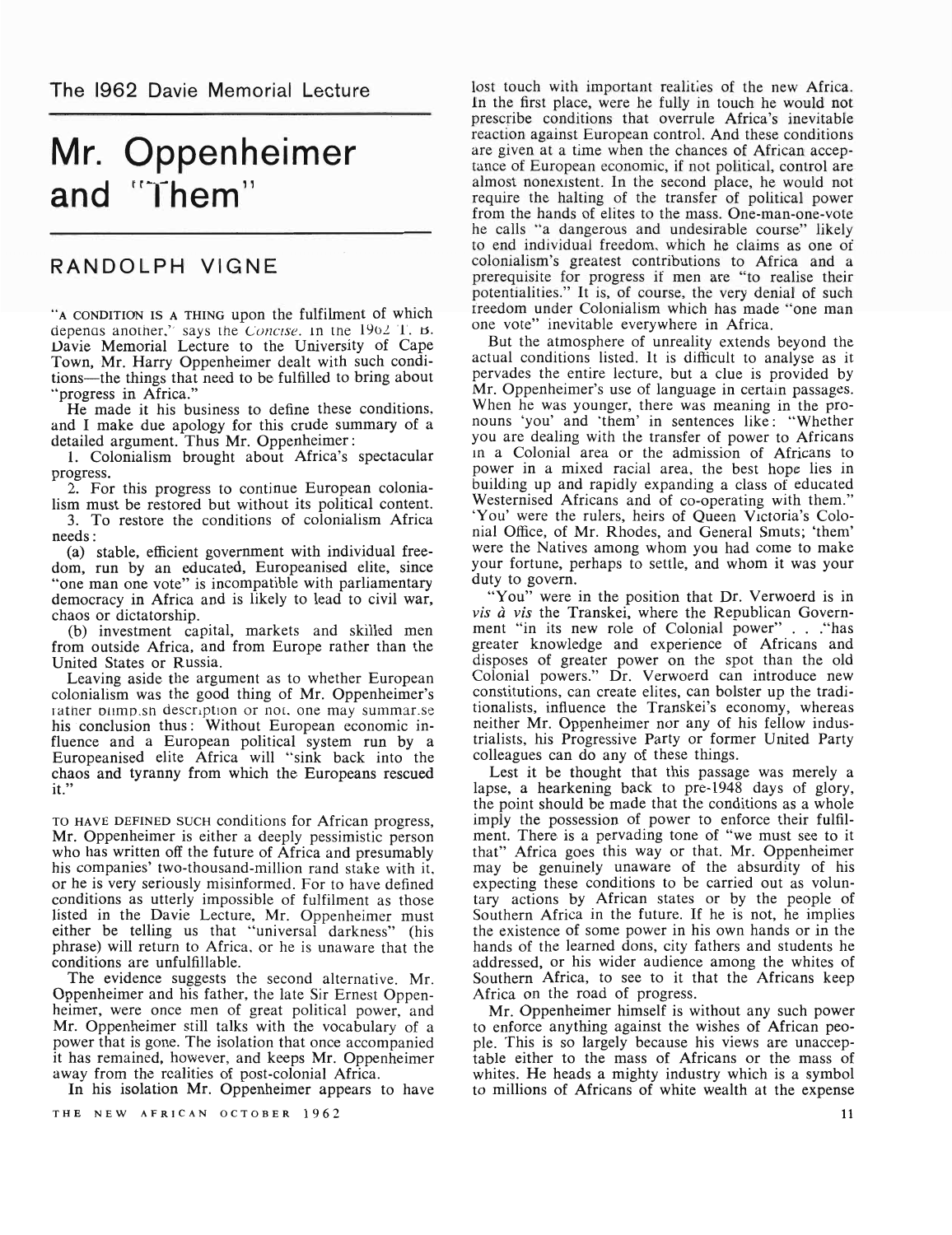# Mr. Oppenheimer and "Them"

## RANDOLPH VIGNE

"A CONDITION IS A THING upon the fulfilment of which depenas another," says the Concise. In the  $1902$  T. B. Vavie Memorial Lecture to the University of Cape Town, Mr. Harry Oppenheimer dealt with such conditions-the things that need to be fulfilled to bring about ·'progress in Africa."

He made it his business to define these conditions, and I make due apology for this crude summary of a detailed argument. Thus Mr. Oppenheimer:

1. Colonialism brought about Africa's spectacular progress.

2. For this progress to continue European colonialism must be restored but without its political content. 3. To restore the conditions of colonialism Africa

needs: . (a) stable, efficient government with individual freedom, run by an educated, Europeanised elite, since "one man one vote" is incompatible with parliamentary democracy in Africa and is likely to lead to civil war, chaos or dictatorship.

(b) investment capital, markets and skilled men from outside Africa, and from Europe rather than the United States or Russia.

Leaving aside the argument as to whether European colonialism was the good thing of Mr. Oppenheimer's rather bilmp.sh description or not, one may summar.se his conclusion thus: Without European economic influence and a European political system run by a Europeanised elite Africa will "sink back into the chaos and tyranny from which the Europeans rescued it."

TO HAVE DEFINED SUCH conditions for African progress, Mr. Oppenheimer is either a deeply pessimistic person who has written off the future of Africa and presumably his companies' two-thousand-million rand stake with it., or he is very seriously misinformed. For to have defined conditions as utterly impossible of fulfilment as those listed in the Davie Lecture, Mr. Oppenheimer must either be telling us that "universal darkness" (his phrase) will return to Africa., or he is unaware that the conditions are unfulfillable.

The evidence suggests the second alternative. Mr. Oppenheimer and his father, the late Sir Ernest Oppenheimer, were once men of great political power, and Mr. Oppenheimer still talks with the vocabulary of a power that is gone. The isolation that once accompanied it has remained, however, and keeps Mr. Oppenheimer away from *the* realities of post-colonial Africa.

In his isolation Mr. Oppenheimer appears to have

THE NEW AFRICAN OCTOBER 1962

lost touch with important realities of the new Africa. In the first place, were he fully in touch he would not prescribe conditions that overrule Africa's inevitable reaction against European control. And these conditions are given at a time when the chances of African acceptance of European economic, if not political, control are almost nonexistent. In the second place, he would not require the halting of the transfer of political power from the hands of elites to the mass. One-man-one-vote he calls "a dangerous and undesirable course" likely to end individual freedom.. which he claims as one of colonialism's greatest contributions to Africa and a prerequisite for progress if men are "to realise their potentialities." It is, of course, the very denial of such freedom under Colonialism which has made "one man one vote" inevitable everywhere in Africa.

But the atmosphere of unreality extends beyond the actual conditions listed. It is difficult to analyse as it pervades the entire lecture, but a clue is provided by Mr. Oppenheimer's use of language in certain passages. When he was younger, there was meaning in the pronouns 'you' and ·them' in sentences like: "Whether you are dealing with the transfer of power to Africans In a Colonial area or the admission of Africans to power in a mixed racial area, the best hope lies in building up and rapidly expanding a class of educated Westernised Africans and of co-operating with them.' 'You' were the rulers, heirs of Queen Victoria's Colonial Office, of Mr. Rhodes, and General Smuts; 'them' were the Natives among whom you had come to make your fortune, perhaps to settle, and whom it was your duty to govern.

"You" were in the position that Dr. Verwoerd is in *vis a vis* the Transkei, where the Republican Government "in its new role of Colonial power" . . . "has greater knowledge and experience of Africans and disposes of greater power on the spot than the old Colonial powers." Dr. Verwoerd can introduce new constitutions, can create elites, can bolster up the traditionalists, influence the Transkei's economy, whereas neither Mr. Oppenheimer nor any of his fellow industrialists, his Progressive Party or former United Party colleagues can do any of these things.

Lest it be thought that this passage was merely a lapse, a hearkening back to pre-1948 days of glory, the point should be made that the conditions as a whole imply the possession of power to enforce their fulfilment. There is a pervading tone of "we must see to it that" Africa goes this way or that. Mr. Oppenheimer may be genuinely unaware of the absurdity of his expecting these conditions to be carried out as voluntary actions by African states or by the people of Southern Africa in the future. If he is not, he implies the existence of some power in his own hands or in the hands of the learned dons, city fathers and students he addressed, or his wider audience among the whites of Southern Africa, to see to it that the Africans keep Africa on the road of progress.

Mr. Oppenheimer himself is without any such power to enforce anything against the wishes of African people. This is so largely because his views are unacceptable either to the mass of Africans or the mass of whites. He heads a mighty industry which is a symbol to millions of Africans of white wealth at the expense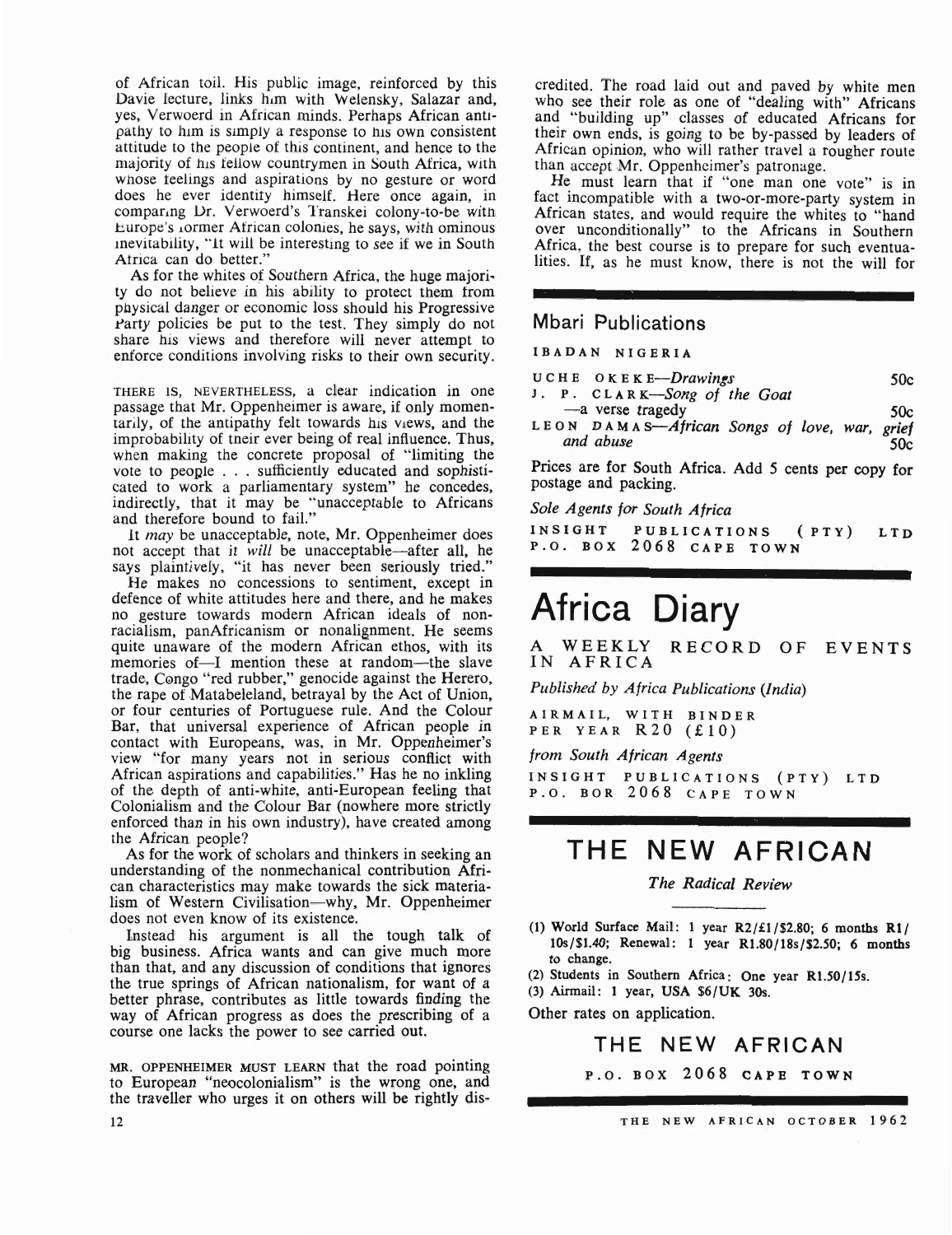of African toil. His public image, reinforced by this Davie lecture, links him with Welensky, Salazar and, yes, Verwoerd in African minds. Perhaps African anti· pathy to him is simply a response to his own consistent attitude to the people of this continent, and hence to the majority of his fellow countrymen in South Africa, with whose feelings and aspirations by no gesture or word does he ever identity himself. Here once again, in comparing Dr. Verwoerd's Transkei colony-to-be with Europe's <sub>1</sub>ormer African colonies, he says, with ominous inevitability, "It will be interesting to see if we in South Atrica can do better."

As for the whites of Southern Africa, the huge majority do not believe in his ability to protect them from pnysical danger or economic loss should his Progressive Party policies be put to the test. They simply do not share his views and therefore will never attempt to enforce conditions involving risks to their own security.

THERE IS, NEVERTHELESS, a clear indication in one passage that Mr. Oppenheimer is aware, if only momentarily, of the antipathy felt towards his views, and the improbability of tneir ever being of real influence. Thus, when making the concrete proposal of "limiting the vote to people . . . sufficiently educated and sophisticated to work a parliamentary system" he concedes, indirectly, that *it* may be "unacceptable to Africans and therefore bound to fail."

It may be unacceptable, note, Mr. Oppenheimer does not accept that it *will* be unacceptable—after all, he says plaintively, "it has never been seriously tried."

He makes no concessions to sentiment, except in defence of white attitudes here and there, and he makes no gesture towards modern African ideals of nonracialism, panAfricanism or nonalignment. He seems quite unaware of the modern African ethos, with its memories of -- I mention these at random-the slave trade, Congo "red rubber," genocide against the Herero, the rape of Matabeleland, betrayal by the Act of Union, or four centuries of Portuguese rule. And the Colour Bar, that universal experience of African people in contact with Europeans, was, in Mr. Oppenheimer's view "for many years not in serious conflict with African aspirations and capabilities." Has he no inkling of the depth of anti-white, anti-European feeling that Colonialism and the Colour Bar (nowhere more strictly enforced than in his own industry), have created among the African people?

As for the work of scholars and thinkers in seeking an understanding of the nonmechanical contribution African characteristics may make towards the sick materialism of Western Civilisation-why, Mr. Oppenheimer does not even know of its existence.

Instead his argument is all the tough talk of big business. Africa wants and can give much more than that, and any discussion of conditions that ignores the true springs of African nationalism, for want of a better phrase, contributes as little towards finding the way of African progress as does the prescribing of a course one lacks the power to see carried out.

MR. OPPENHEIMER MUST LEARN that the road pointing to European "neocolonialism" is the wrong one, and the traveller who urges it on others will be rightly discredited. The road laid out and paved by white men who see their role as one of "dealing with" Africans and "building up" classes of educated Africans for their own ends, is going to be by-passed by leaders of African opinion, who will rather travel a rougher route than accept Mr. Oppenheimer's patronage.

He must learn that if "one man one vote" is in fact incompatible with a two-or-more-party system in African states, and would require the whites to "hand over unconditionally" to the Africans in Southern Africa, the best course is to prepare for such eventualities. If, as he must know, there is not the will for

### Mbari Publications

IBADAN NIGERIA

| $UCHE$ OKEKE-Drawings | 50c |
|-----------------------|-----|
|-----------------------|-----|

- J. P. CLARK—Song of the Goat<br>
—a verse tragedy 50c
- LEON DAMAS—African Songs of love, war, grief<br>and abuse 50c

Prices are for South Africa. Add 5 cents per copy for postage and packing.

*Sole Agents for South Africa*

INSIGHT PUBLICATIONS (PTY) LTD P.o. BOX 2068 CAPE TOWN

# Africa Diary

WEEKLY RECORD OF EVENTS IN AFRICA

*Published by Africa Publications (India)*

A IRMAIL, WITH BINDER PER YEAR R20 (£10)

*from* South *African Agents*

INSIGHT PUBLICATIONS (PTY) LTD P.D. BOR 2068 CAPE TOWN

## THE NEW AFRICAN

*The Radical Review*

(1) World Surface Mail: 1 year *R2/£1/\$2.80;* 6 months RII 108/\$1.40; Renewal: 1 year R1.80/18s/S2.S0; 6 months to change.

(2) Students in Southern Africa: One year R1.50/1Ss.

(3) Airmail: 1 year, USA \$6/UK 30s.

Other rates on application.

## THE NEW AFRICAN

P.O. BOX 2068 CAPE TOWN